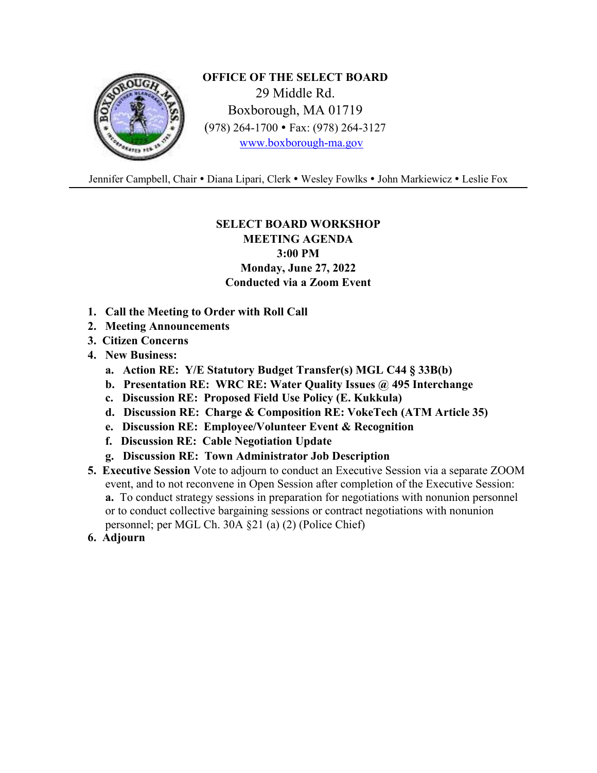

**OFFICE OF THE SELECT BOARD**  29 Middle Rd. Boxborough, MA 01719 (978) 264-1700 Fax: (978) 264-3127 www.boxborough-ma.gov

Jennifer Campbell, Chair . Diana Lipari, Clerk . Wesley Fowlks . John Markiewicz . Leslie Fox

## **SELECT BOARD WORKSHOP**

**MEETING AGENDA 3:00 PM Monday, June 27, 2022 Conducted via a Zoom Event** 

- **1. Call the Meeting to Order with Roll Call**
- **2. Meeting Announcements**
- **3. Citizen Concerns**
- **4. New Business:** 
	- **a. Action RE: Y/E Statutory Budget Transfer(s) MGL C44 § 33B(b)**
	- **b. Presentation RE: WRC RE: Water Quality Issues @ 495 Interchange**
	- **c. Discussion RE: Proposed Field Use Policy (E. Kukkula)**
	- **d. Discussion RE: Charge & Composition RE: VokeTech (ATM Article 35)**
	- **e. Discussion RE: Employee/Volunteer Event & Recognition**
	- **f. Discussion RE: Cable Negotiation Update**
	- **g. Discussion RE: Town Administrator Job Description**
- **5. Executive Session** Vote to adjourn to conduct an Executive Session via a separate ZOOM event, and to not reconvene in Open Session after completion of the Executive Session: **a.** To conduct strategy sessions in preparation for negotiations with nonunion personnel or to conduct collective bargaining sessions or contract negotiations with nonunion personnel; per MGL Ch. 30A §21 (a) (2) (Police Chief)
- **6. Adjourn**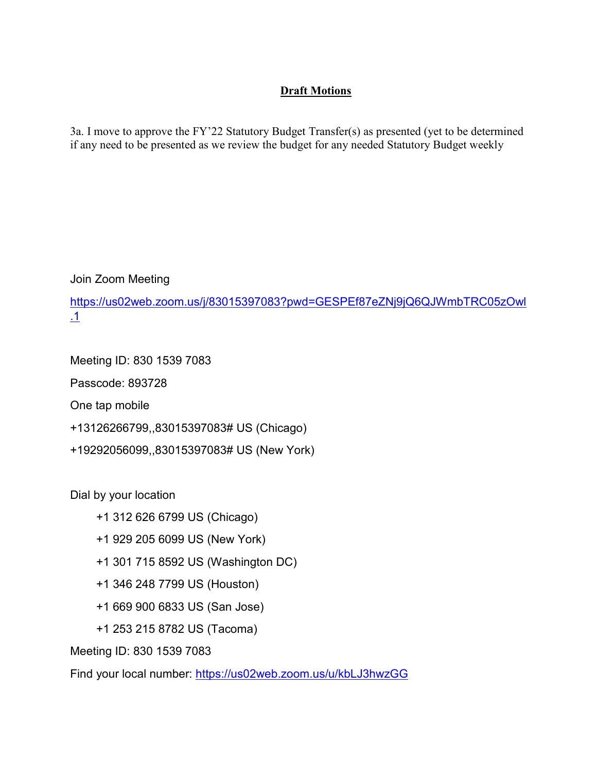## **Draft Motions**

3a. I move to approve the FY'22 Statutory Budget Transfer(s) as presented (yet to be determined if any need to be presented as we review the budget for any needed Statutory Budget weekly

Join Zoom Meeting

https://us02web.zoom.us/j/83015397083?pwd=GESPEf87eZNj9jQ6QJWmbTRC05zOwl .1

Meeting ID: 830 1539 7083 Passcode: 893728

One tap mobile

+13126266799,,83015397083# US (Chicago)

+19292056099,,83015397083# US (New York)

Dial by your location

+1 312 626 6799 US (Chicago)

+1 929 205 6099 US (New York)

+1 301 715 8592 US (Washington DC)

+1 346 248 7799 US (Houston)

+1 669 900 6833 US (San Jose)

+1 253 215 8782 US (Tacoma)

Meeting ID: 830 1539 7083

Find your local number: https://us02web.zoom.us/u/kbLJ3hwzGG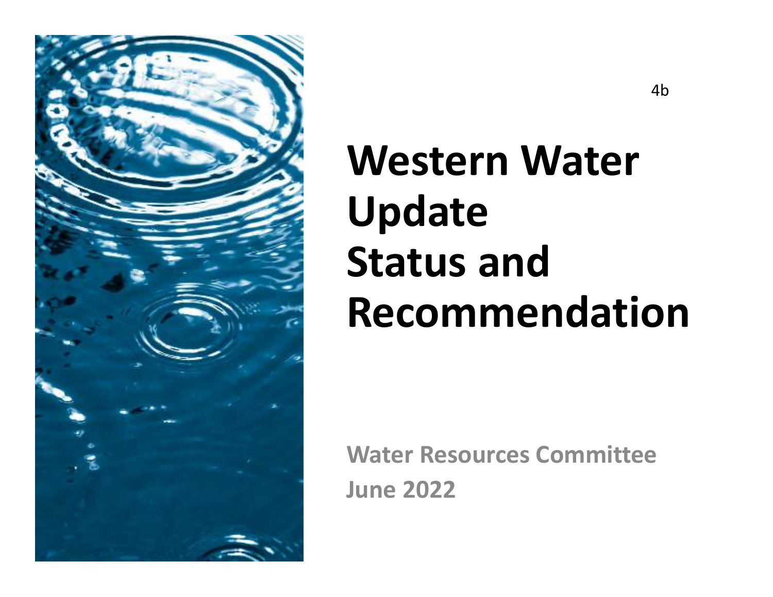

# **Western Water Update Status and Recommendation**

**Water Resources CommitteeJune 2022**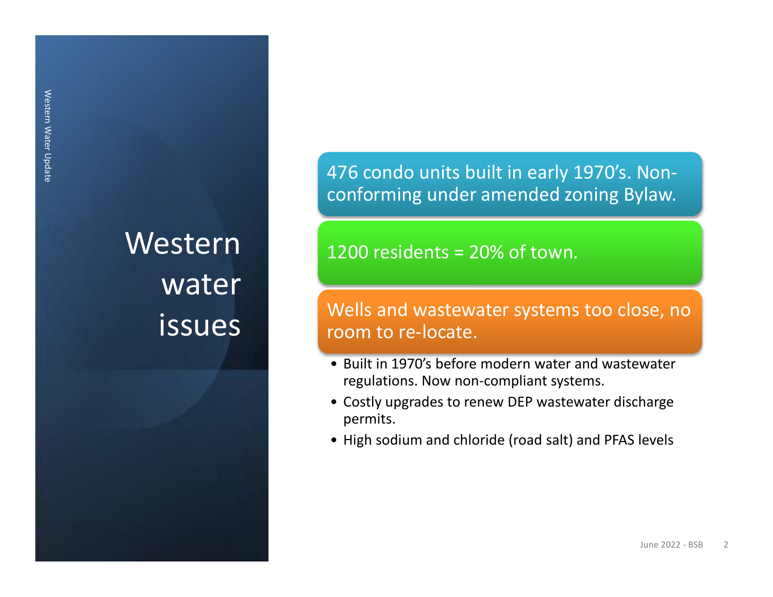## Western water issues

476 condo units built in early 1970's. Nonconforming under amended zoning Bylaw.

1200 residents = 20% of town.

## Wells and wastewater systems too close, no room to re-locate.

- Built in 1970's before modern water and wastewater regulations. Now non-compliant systems.
- Costly upgrades to renew DEP wastewater discharge permits.
- High sodium and chloride (road salt) and PFAS levels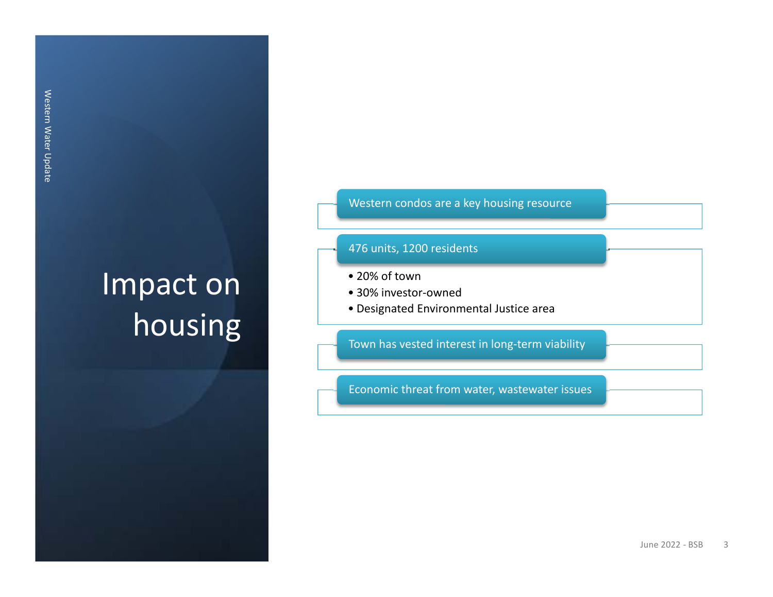## Impact on housing

## Western condos are a key housing resource

## 476 units, 1200 residents

- 20% of town
- 30% investor-owned
- Designated Environmental Justice area

Town has vested interest in long-term viability

Economic threat from water, wastewater issues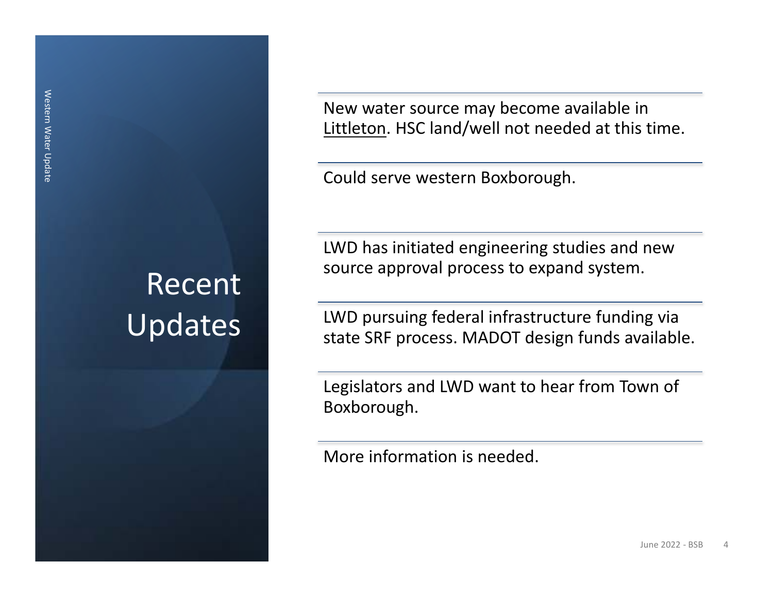## Recent Updates

New water source may become available in Littleton. HSC land/well not needed at this time.

Could serve western Boxborough.

LWD has initiated engineering studies and new source approval process to expand system.

LWD pursuing federal infrastructure funding via state SRF process. MADOT design funds available.

Legislators and LWD want to hear from Town of Boxborough.

More information is needed.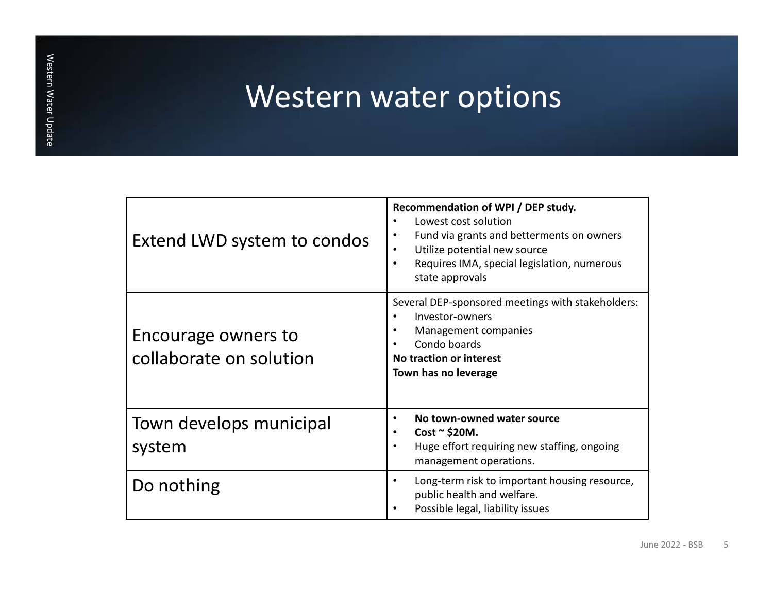## Western water options

| Extend LWD system to condos                    | Recommendation of WPI / DEP study.<br>Lowest cost solution<br>Fund via grants and betterments on owners<br>٠<br>Utilize potential new source<br>$\bullet$<br>Requires IMA, special legislation, numerous<br>$\bullet$<br>state approvals |
|------------------------------------------------|------------------------------------------------------------------------------------------------------------------------------------------------------------------------------------------------------------------------------------------|
| Encourage owners to<br>collaborate on solution | Several DEP-sponsored meetings with stakeholders:<br>Investor-owners<br>Management companies<br>Condo boards<br>No traction or interest<br>Town has no leverage                                                                          |
| Town develops municipal<br>system              | No town-owned water source<br>٠<br>$Cost \sim $20M$ .<br>$\bullet$<br>Huge effort requiring new staffing, ongoing<br>$\bullet$<br>management operations.                                                                                 |
| Do nothing                                     | Long-term risk to important housing resource,<br>$\bullet$<br>public health and welfare.<br>Possible legal, liability issues                                                                                                             |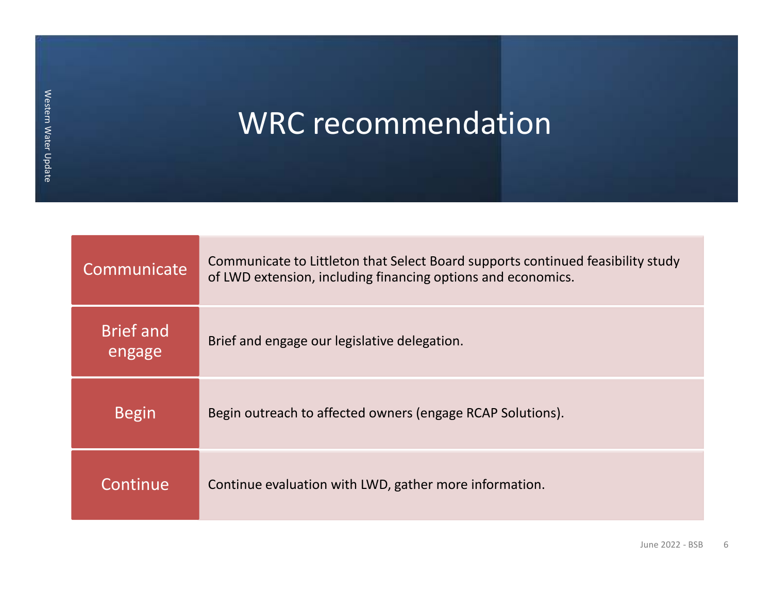WRC recommendation

| Communicate                | Communicate to Littleton that Select Board supports continued feasibility study<br>of LWD extension, including financing options and economics. |
|----------------------------|-------------------------------------------------------------------------------------------------------------------------------------------------|
| <b>Brief</b> and<br>engage | Brief and engage our legislative delegation.                                                                                                    |
| <b>Begin</b>               | Begin outreach to affected owners (engage RCAP Solutions).                                                                                      |
| Continue                   | Continue evaluation with LWD, gather more information.                                                                                          |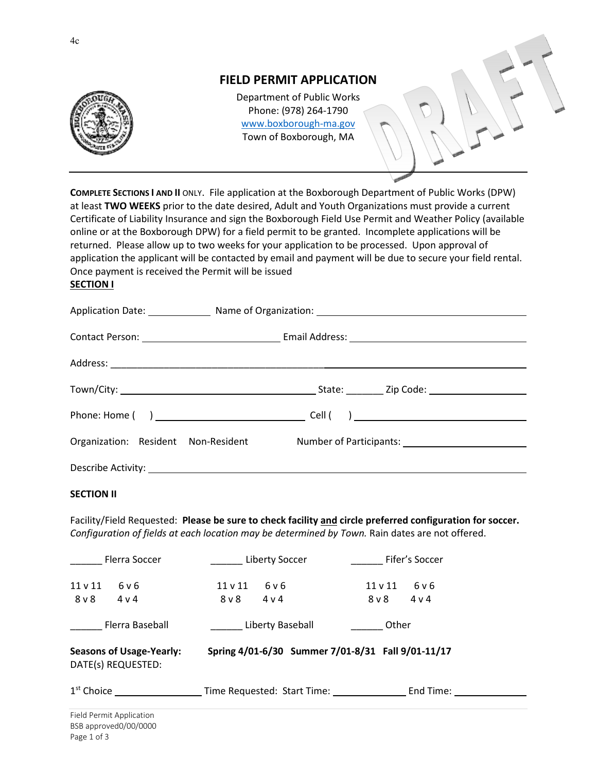

**COMPLETE SECTIONS I AND II** ONLY. File application at the Boxborough Department of Public Works (DPW) at least **TWO WEEKS** prior to the date desired, Adult and Youth Organizations must provide a current Certificate of Liability Insurance and sign the Boxborough Field Use Permit and Weather Policy (available online or at the Boxborough DPW) for a field permit to be granted. Incomplete applications will be returned. Please allow up to two weeks for your application to be processed. Upon approval of application the applicant will be contacted by email and payment will be due to secure your field rental. Once payment is received the Permit will be issued

### **SECTION I**

| Application Date: Manne of Organization: Manner Communication: Manner Communication and Application Date: |  |
|-----------------------------------------------------------------------------------------------------------|--|
|                                                                                                           |  |
|                                                                                                           |  |
|                                                                                                           |  |
|                                                                                                           |  |
| Organization: Resident Non-Resident Mumber of Participants: 1986 Mumber of Participants:                  |  |
| Describe Activity: New York Change and Security: New York Change and Security:                            |  |

#### **SECTION II**

Facility/Field Requested: **Please be sure to check facility and circle preferred configuration for soccer.**  *Configuration of fields at each location may be determined by Town.* Rain dates are not offered.

| <b>Flerra Soccer</b>                                  | Liberty Soccer                                     | Fifer's Soccer                               |  |
|-------------------------------------------------------|----------------------------------------------------|----------------------------------------------|--|
| $11$ v $11$<br>6 v 6<br>$8v$ 8<br>4 v 4               | 6 v 6<br>$11 \vee 11$<br>8 <sub>V</sub> 8<br>4 v 4 | 6 v 6<br>$11 \vee 11$<br>8 v 8<br>$4 \vee 4$ |  |
| Flerra Baseball                                       | Liberty Baseball                                   | Other                                        |  |
| <b>Seasons of Usage-Yearly:</b><br>DATE(s) REQUESTED: | Spring 4/01-6/30 Summer 7/01-8/31 Fall 9/01-11/17  |                                              |  |
| 1 <sup>st</sup> Choice                                | Time Requested: Start Time:                        | End Time:                                    |  |
| Field Dermit Annliastion                              |                                                    |                                              |  |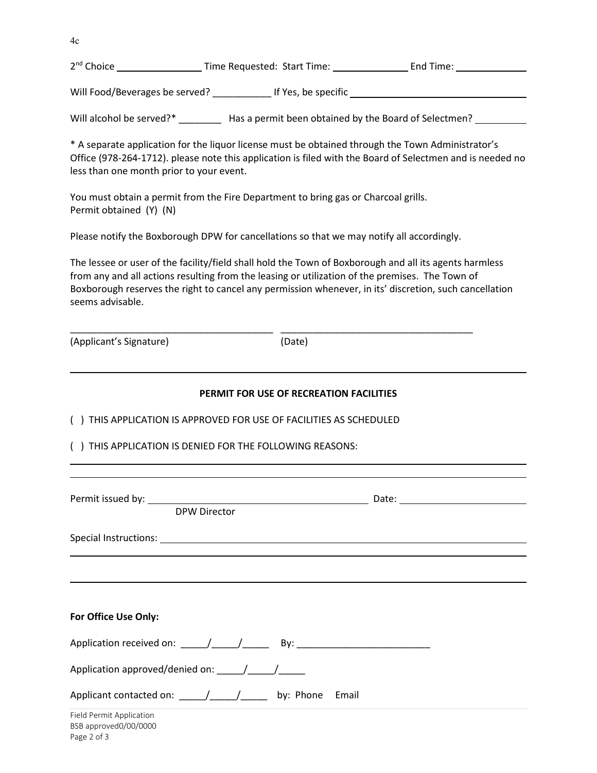4c

| 2 <sup>nd</sup> Choice | Time Requested: Start Time: | End Time: |  |
|------------------------|-----------------------------|-----------|--|
|                        |                             |           |  |

Will Food/Beverages be served? \_\_\_\_\_\_\_\_\_\_\_\_\_\_ If Yes, be specific \_\_\_\_\_\_\_\_\_\_\_\_\_\_

Will alcohol be served?\* \_\_\_\_\_\_\_\_\_ Has a permit been obtained by the Board of Selectmen? \_\_\_\_\_\_\_\_\_\_

\* A separate application for the liquor license must be obtained through the Town Administrator's Office (978-264-1712). please note this application is filed with the Board of Selectmen and is needed no less than one month prior to your event.

You must obtain a permit from the Fire Department to bring gas or Charcoal grills. Permit obtained (Y) (N)

Please notify the Boxborough DPW for cancellations so that we may notify all accordingly.

The lessee or user of the facility/field shall hold the Town of Boxborough and all its agents harmless from any and all actions resulting from the leasing or utilization of the premises. The Town of Boxborough reserves the right to cancel any permission whenever, in its' discretion, such cancellation seems advisable.

(Applicant's Signature) (Date)

\_\_\_\_\_\_\_\_\_\_\_\_\_\_\_\_\_\_\_\_\_\_\_\_\_\_\_\_\_\_\_\_\_\_\_\_\_\_ \_\_\_\_\_\_\_\_\_\_\_\_\_\_\_\_\_\_\_\_\_\_\_\_\_\_\_\_\_\_\_\_\_\_\_\_

## **PERMIT FOR USE OF RECREATION FACILITIES**  ( ) THIS APPLICATION IS APPROVED FOR USE OF FACILITIES AS SCHEDULED ( ) THIS APPLICATION IS DENIED FOR THE FOLLOWING REASONS:

| <b>DPW Director</b>                                                                                                                                                                                                                                                                                                                                                                                   |  |
|-------------------------------------------------------------------------------------------------------------------------------------------------------------------------------------------------------------------------------------------------------------------------------------------------------------------------------------------------------------------------------------------------------|--|
|                                                                                                                                                                                                                                                                                                                                                                                                       |  |
|                                                                                                                                                                                                                                                                                                                                                                                                       |  |
|                                                                                                                                                                                                                                                                                                                                                                                                       |  |
| For Office Use Only:                                                                                                                                                                                                                                                                                                                                                                                  |  |
| Application received on: \building \building \building \building \building \building \building \building \building \building \building \building \building \building \building \building \building \building \building \buildi                                                                                                                                                                        |  |
| Application approved/denied on: $\frac{1}{\sqrt{1-\frac{1}{\sqrt{1-\frac{1}{\sqrt{1-\frac{1}{\sqrt{1-\frac{1}{\sqrt{1-\frac{1}{\sqrt{1-\frac{1}{\sqrt{1-\frac{1}{\sqrt{1-\frac{1}{\sqrt{1-\frac{1}{\sqrt{1-\frac{1}{\sqrt{1-\frac{1}{\sqrt{1-\frac{1}{\sqrt{1-\frac{1}{\sqrt{1-\frac{1}{\sqrt{1-\frac{1}{\sqrt{1-\frac{1}{\sqrt{1-\frac{1}{\sqrt{1-\frac{1}{\sqrt{1-\frac{1}{\sqrt{1-\frac{1}{\sqrt{$ |  |
|                                                                                                                                                                                                                                                                                                                                                                                                       |  |
| Field Permit Application<br>BSB approved0/00/0000<br>Page 2 of 3                                                                                                                                                                                                                                                                                                                                      |  |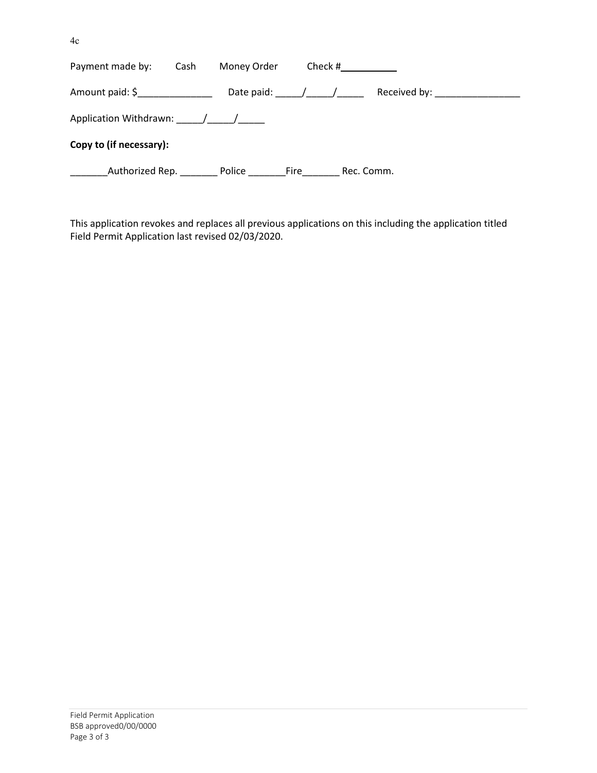4c

| Payment made by:                | Cash | Money Order | Check #                         |            |                                 |
|---------------------------------|------|-------------|---------------------------------|------------|---------------------------------|
| Amount paid: \$________________ |      |             | Date paid: $\frac{1}{\sqrt{2}}$ |            | Received by: __________________ |
| Application Withdrawn: / /      |      |             |                                 |            |                                 |
| Copy to (if necessary):         |      |             |                                 |            |                                 |
| Authorized Rep.                 |      | Police      | Fire                            | Rec. Comm. |                                 |

This application revokes and replaces all previous applications on this including the application titled Field Permit Application last revised 02/03/2020.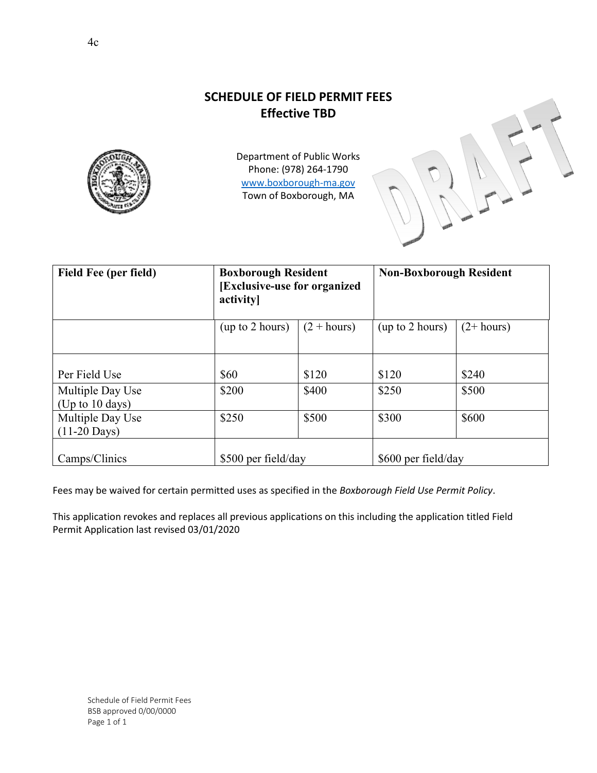## **SCHEDULE OF FIELD PERMIT FEES Effective TBD**



Department of Public Works Phone: (978) 264-1790 www.boxborough-ma.gov Town of Boxborough, MA

| Field Fee (per field)                          | <b>Boxborough Resident</b><br>[Exclusive-use for organized]<br>activity |               | <b>Non-Boxborough Resident</b> |              |  |
|------------------------------------------------|-------------------------------------------------------------------------|---------------|--------------------------------|--------------|--|
|                                                | (up to 2 hours)                                                         | $(2 + hours)$ | (up to 2 hours)                | $(2+ hours)$ |  |
| Per Field Use                                  | \$60                                                                    | \$120         | \$120                          | \$240        |  |
| Multiple Day Use<br>(Up to $10 \text{ days}$ ) | \$200                                                                   | \$400         | \$250                          | \$500        |  |
| Multiple Day Use<br>$(11-20$ Days)             | \$250                                                                   | \$500         | \$300                          | \$600        |  |
| Camps/Clinics                                  | \$500 per field/day                                                     |               | \$600 per field/day            |              |  |

Fees may be waived for certain permitted uses as specified in the *Boxborough Field Use Permit Policy*.

This application revokes and replaces all previous applications on this including the application titled Field Permit Application last revised 03/01/2020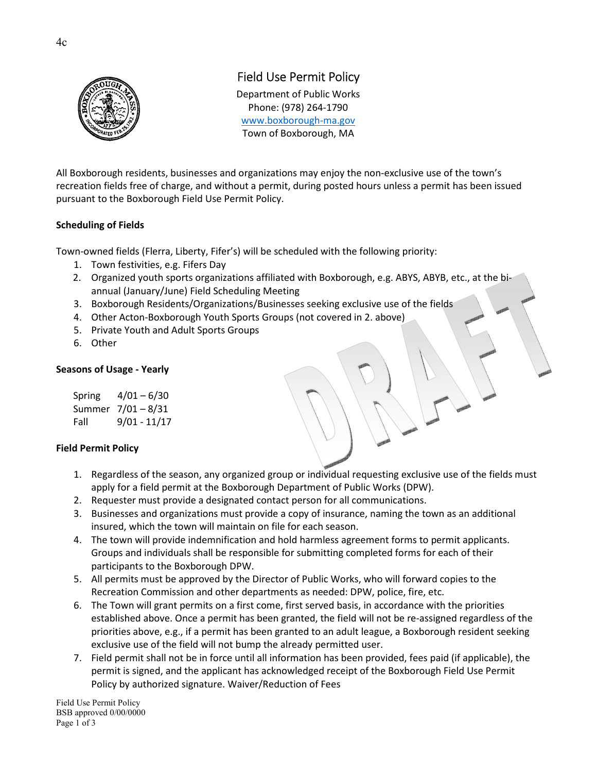

## Field Use Permit Policy

Department of Public Works Phone: (978) 264-1790 www.boxborough-ma.gov Town of Boxborough, MA

All Boxborough residents, businesses and organizations may enjoy the non-exclusive use of the town's recreation fields free of charge, and without a permit, during posted hours unless a permit has been issued pursuant to the Boxborough Field Use Permit Policy.

### **Scheduling of Fields**

Town-owned fields (Flerra, Liberty, Fifer's) will be scheduled with the following priority:

- 1. Town festivities, e.g. Fifers Day
- 2. Organized youth sports organizations affiliated with Boxborough, e.g. ABYS, ABYB, etc., at the biannual (January/June) Field Scheduling Meeting
- 3. Boxborough Residents/Organizations/Businesses seeking exclusive use of the fields
- 4. Other Acton-Boxborough Youth Sports Groups (not covered in 2. above)
- 5. Private Youth and Adult Sports Groups
- 6. Other

#### **Seasons of Usage - Yearly**

 Spring 4/01 – 6/30 Summer 7/01 – 8/31 Fall 9/01 - 11/17

## **Field Permit Policy**

- 1. Regardless of the season, any organized group or individual requesting exclusive use of the fields must apply for a field permit at the Boxborough Department of Public Works (DPW).
- 2. Requester must provide a designated contact person for all communications.
- 3. Businesses and organizations must provide a copy of insurance, naming the town as an additional insured, which the town will maintain on file for each season.
- 4. The town will provide indemnification and hold harmless agreement forms to permit applicants. Groups and individuals shall be responsible for submitting completed forms for each of their participants to the Boxborough DPW.
- 5. All permits must be approved by the Director of Public Works, who will forward copies to the Recreation Commission and other departments as needed: DPW, police, fire, etc.
- 6. The Town will grant permits on a first come, first served basis, in accordance with the priorities established above. Once a permit has been granted, the field will not be re-assigned regardless of the priorities above, e.g., if a permit has been granted to an adult league, a Boxborough resident seeking exclusive use of the field will not bump the already permitted user.
- 7. Field permit shall not be in force until all information has been provided, fees paid (if applicable), the permit is signed, and the applicant has acknowledged receipt of the Boxborough Field Use Permit Policy by authorized signature. Waiver/Reduction of Fees

Field Use Permit Policy BSB approved 0/00/0000 Page 1 of 3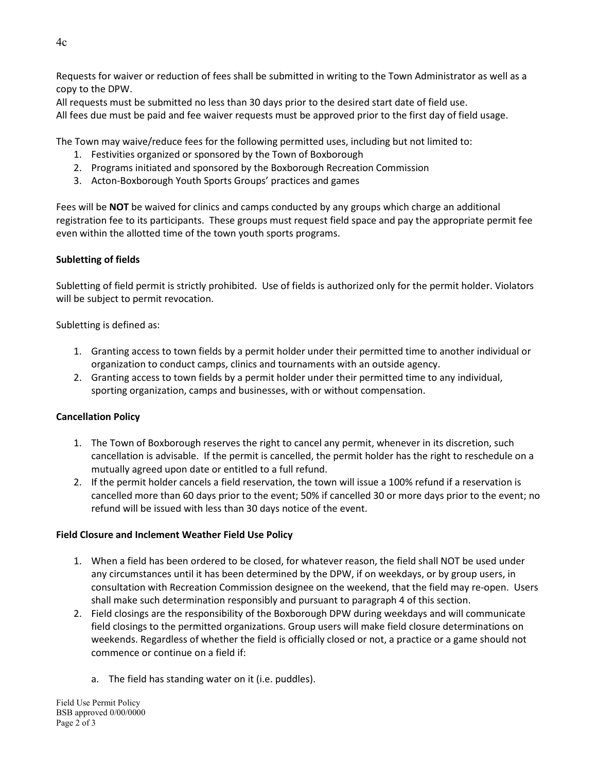Requests for waiver or reduction of fees shall be submitted in writing to the Town Administrator as well as a copy to the DPW.

All requests must be submitted no less than 30 days prior to the desired start date of field use.

All fees due must be paid and fee waiver requests must be approved prior to the first day of field usage.

The Town may waive/reduce fees for the following permitted uses, including but not limited to:

- 1. Festivities organized or sponsored by the Town of Boxborough
- 2. Programs initiated and sponsored by the Boxborough Recreation Commission
- 3. Acton-Boxborough Youth Sports Groups' practices and games

Fees will be **NOT** be waived for clinics and camps conducted by any groups which charge an additional registration fee to its participants. These groups must request field space and pay the appropriate permit fee even within the allotted time of the town youth sports programs.

## **Subletting of fields**

Subletting of field permit is strictly prohibited. Use of fields is authorized only for the permit holder. Violators will be subject to permit revocation.

Subletting is defined as:

- 1. Granting access to town fields by a permit holder under their permitted time to another individual or organization to conduct camps, clinics and tournaments with an outside agency.
- 2. Granting access to town fields by a permit holder under their permitted time to any individual, sporting organization, camps and businesses, with or without compensation.

## **Cancellation Policy**

- 1. The Town of Boxborough reserves the right to cancel any permit, whenever in its discretion, such cancellation is advisable. If the permit is cancelled, the permit holder has the right to reschedule on a mutually agreed upon date or entitled to a full refund.
- 2. If the permit holder cancels a field reservation, the town will issue a 100% refund if a reservation is cancelled more than 60 days prior to the event; 50% if cancelled 30 or more days prior to the event; no refund will be issued with less than 30 days notice of the event.

## **Field Closure and Inclement Weather Field Use Policy**

- 1. When a field has been ordered to be closed, for whatever reason, the field shall NOT be used under any circumstances until it has been determined by the DPW, if on weekdays, or by group users, in consultation with Recreation Commission designee on the weekend, that the field may re-open. Users shall make such determination responsibly and pursuant to paragraph 4 of this section.
- 2. Field closings are the responsibility of the Boxborough DPW during weekdays and will communicate field closings to the permitted organizations. Group users will make field closure determinations on weekends. Regardless of whether the field is officially closed or not, a practice or a game should not commence or continue on a field if:
	- a. The field has standing water on it (i.e. puddles).

Field Use Permit Policy BSB approved 0/00/0000 Page 2 of 3